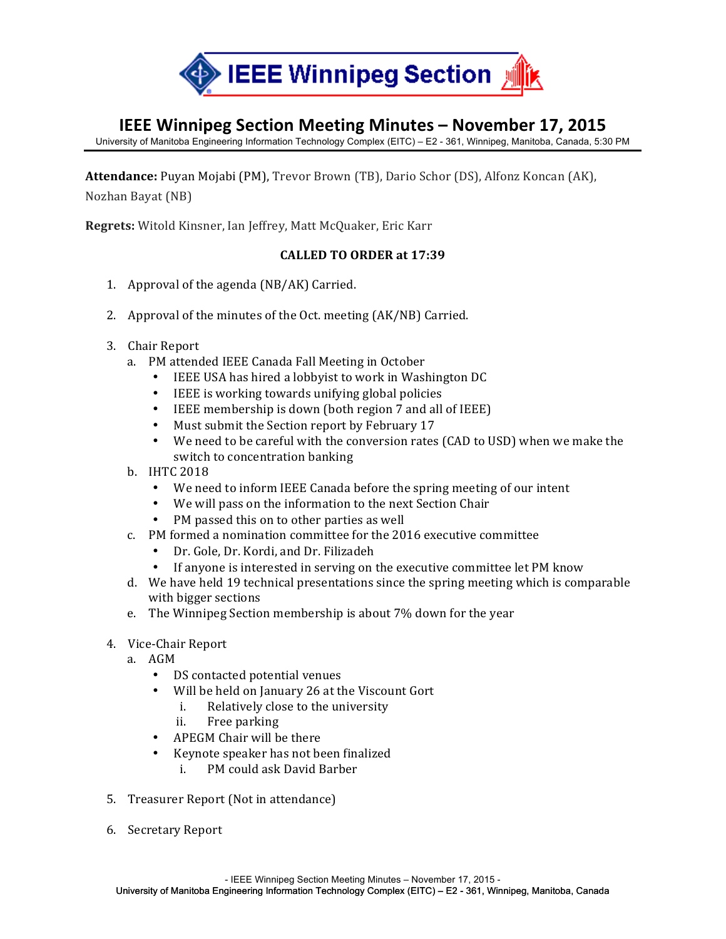

## **IEEE Winnipeg Section Meeting Minutes – November 17, 2015**

University of Manitoba Engineering Information Technology Complex (EITC) – E2 - 361, Winnipeg, Manitoba, Canada, 5:30 PM

Attendance: Puyan Mojabi (PM), Trevor Brown (TB), Dario Schor (DS), Alfonz Koncan (AK), Nozhan Bayat (NB)

**Regrets:** Witold Kinsner, Ian Jeffrey, Matt McQuaker, Eric Karr

## **CALLED TO ORDER at 17:39**

- 1. Approval of the agenda  $(NB/AK)$  Carried.
- 2. Approval of the minutes of the Oct. meeting (AK/NB) Carried.
- 3. Chair Report
	- a. PM attended IEEE Canada Fall Meeting in October
		- IEEE USA has hired a lobbyist to work in Washington DC
		- IEEE is working towards unifying global policies
		- IEEE membership is down (both region 7 and all of IEEE)
		- Must submit the Section report by February 17
		- We need to be careful with the conversion rates (CAD to USD) when we make the switch to concentration banking
	- b. IHTC 2018
		- We need to inform IEEE Canada before the spring meeting of our intent
		- We will pass on the information to the next Section Chair
		- PM passed this on to other parties as well
	- c. PM formed a nomination committee for the 2016 executive committee
		- Dr. Gole, Dr. Kordi, and Dr. Filizadeh
		- If anyone is interested in serving on the executive committee let PM know
	- d. We have held 19 technical presentations since the spring meeting which is comparable with bigger sections
	- e. The Winnipeg Section membership is about 7% down for the year
- 4. Vice-Chair Report
	- a. AGM
		- DS contacted potential venues
		- Will be held on January 26 at the Viscount Gort
			- i. Relatively close to the university
			- ii. Free parking
		- APEGM Chair will be there
		- Keynote speaker has not been finalized
			- i. PM could ask David Barber
- 5. Treasurer Report (Not in attendance)
- 6. Secretary Report